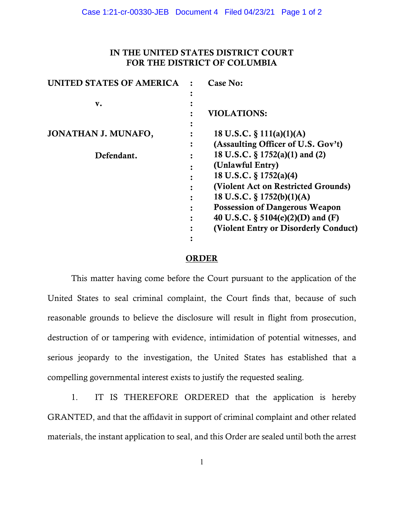## IN THE UNITED STATES DISTRICT COURT FOR THE DISTRICT OF COLUMBIA

| UNITED STATES OF AMERICA | Case No:                              |
|--------------------------|---------------------------------------|
|                          |                                       |
| v.                       |                                       |
|                          | <b>VIOLATIONS:</b>                    |
|                          |                                       |
| JONATHAN J. MUNAFO,      | 18 U.S.C. $\S$ 111(a)(1)(A)           |
|                          | (Assaulting Officer of U.S. Gov't)    |
| Defendant.               | 18 U.S.C. § 1752(a)(1) and (2)        |
|                          | (Unlawful Entry)                      |
|                          | 18 U.S.C. § 1752(a)(4)                |
|                          | (Violent Act on Restricted Grounds)   |
|                          | 18 U.S.C. $\S 1752(b)(1)(A)$          |
|                          | <b>Possession of Dangerous Weapon</b> |
|                          | 40 U.S.C. § 5104(e)(2)(D) and (F)     |
|                          | (Violent Entry or Disorderly Conduct) |
|                          |                                       |

## ORDER

This matter having come before the Court pursuant to the application of the United States to seal criminal complaint, the Court finds that, because of such reasonable grounds to believe the disclosure will result in flight from prosecution, destruction of or tampering with evidence, intimidation of potential witnesses, and serious jeopardy to the investigation, the United States has established that a compelling governmental interest exists to justify the requested sealing.

1. IT IS THEREFORE ORDERED that the application is hereby GRANTED, and that the affidavit in support of criminal complaint and other related materials, the instant application to seal, and this Order are sealed until both the arrest